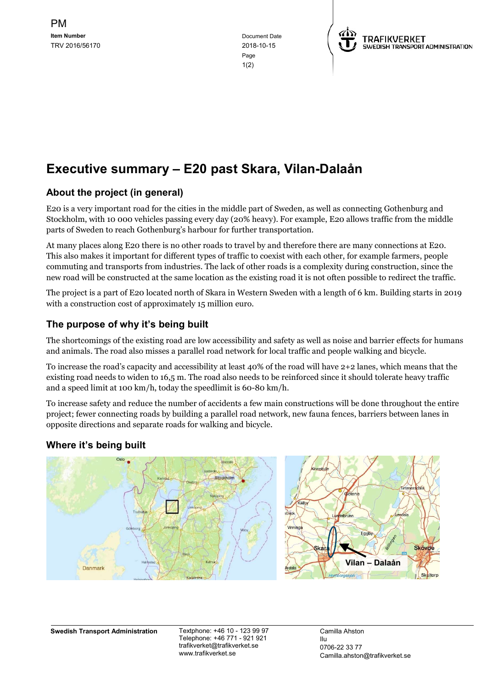in the contract of the contract of the contract of the contract of the contract of the contract of the contract of the contract of the contract of the contract of the contract of the contract of the contract of the contrac  $1(2)$ 



# Executive summary – E20 past Skara, Vilan-Dalaån

## About the project (in general)

E20 is a very important road for the cities in the middle part of Sweden, as well as connecting Gothenburg and Stockholm, with 10 000 vehicles passing every day (20% heavy). For example, E20 allows traffic from the middle parts of Sweden to reach Gothenburg's harbour for further transportation.

At many places along E20 there is no other roads to travel by and therefore there are many connections at E20. This also makes it important for different types of traffic to coexist with each other, for example farmers, people commuting and transports from industries. The lack of other roads is a complexity during construction, since the new road will be constructed at the same location as the existing road it is not often possible to redirect the traffic.

The project is a part of E20 located north of Skara in Western Sweden with a length of 6 km. Building starts in 2019 with a construction cost of approximately 15 million euro.

## The purpose of why it's being built

The shortcomings of the existing road are low accessibility and safety as well as noise and barrier effects for humans and animals. The road also misses a parallel road network for local traffic and people walking and bicycle.

To increase the road's capacity and accessibility at least 40% of the road will have 2+2 lanes, which means that the existing road needs to widen to 16,5 m. The road also needs to be reinforced since it should tolerate heavy traffic and a speed limit at 100 km/h, today the speedlimit is 60-80 km/h.

To increase safety and reduce the number of accidents a few main constructions will be done throughout the entire project; fewer connecting roads by building a parallel road network, new fauna fences, barriers between lanes in opposite directions and separate roads for walking and bicycle.

## Where it's being built



Swedish Transport Administration Textphone: +46 10 - 123 99 97

Telephone: +46 771 - 921 921 trafikverket@trafikverket.se www.trafikverket.se

Camilla Ahston Ilu 0706-22 33 77 Camilla.ahston@trafikverket.se